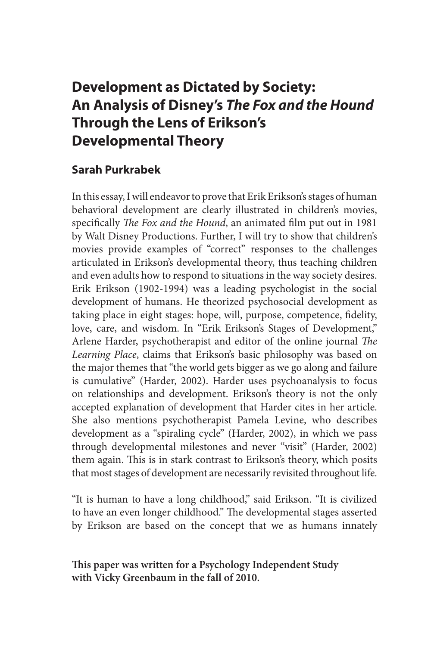# **Development as Dictated by Society: An Analysis of Disney's** *The Fox and the Hound* **Through the Lens of Erikson's Developmental Theory**

## **Sarah Purkrabek**

In this essay, I will endeavor to prove that Erik Erikson's stages of human behavioral development are clearly illustrated in children's movies, specifically *The Fox and the Hound*, an animated film put out in 1981 by Walt Disney Productions. Further, I will try to show that children's movies provide examples of "correct" responses to the challenges articulated in Erikson's developmental theory, thus teaching children and even adults how to respond to situations in the way society desires. Erik Erikson (1902-1994) was a leading psychologist in the social development of humans. He theorized psychosocial development as taking place in eight stages: hope, will, purpose, competence, fidelity, love, care, and wisdom. In "Erik Erikson's Stages of Development," Arlene Harder, psychotherapist and editor of the online journal *The Learning Place*, claims that Erikson's basic philosophy was based on the major themes that "the world gets bigger as we go along and failure is cumulative" (Harder, 2002). Harder uses psychoanalysis to focus on relationships and development. Erikson's theory is not the only accepted explanation of development that Harder cites in her article. She also mentions psychotherapist Pamela Levine, who describes development as a "spiraling cycle" (Harder, 2002), in which we pass through developmental milestones and never "visit" (Harder, 2002) them again. This is in stark contrast to Erikson's theory, which posits that most stages of development are necessarily revisited throughout life.

"It is human to have a long childhood," said Erikson. "It is civilized to have an even longer childhood." The developmental stages asserted by Erikson are based on the concept that we as humans innately

**This paper was written for a Psychology Independent Study with Vicky Greenbaum in the fall of 2010.**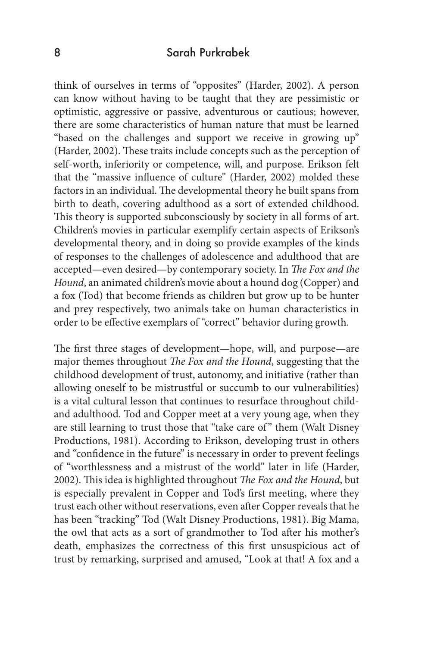#### 8 Sarah Purkrabek

think of ourselves in terms of "opposites" (Harder, 2002). A person can know without having to be taught that they are pessimistic or optimistic, aggressive or passive, adventurous or cautious; however, there are some characteristics of human nature that must be learned "based on the challenges and support we receive in growing up" (Harder, 2002). These traits include concepts such as the perception of self-worth, inferiority or competence, will, and purpose. Erikson felt that the "massive influence of culture" (Harder, 2002) molded these factors in an individual. The developmental theory he built spans from birth to death, covering adulthood as a sort of extended childhood. This theory is supported subconsciously by society in all forms of art. Children's movies in particular exemplify certain aspects of Erikson's developmental theory, and in doing so provide examples of the kinds of responses to the challenges of adolescence and adulthood that are accepted—even desired—by contemporary society. In *The Fox and the Hound*, an animated children's movie about a hound dog (Copper) and a fox (Tod) that become friends as children but grow up to be hunter and prey respectively, two animals take on human characteristics in order to be effective exemplars of "correct" behavior during growth.

The first three stages of development—hope, will, and purpose—are major themes throughout *The Fox and the Hound*, suggesting that the childhood development of trust, autonomy, and initiative (rather than allowing oneself to be mistrustful or succumb to our vulnerabilities) is a vital cultural lesson that continues to resurface throughout childand adulthood. Tod and Copper meet at a very young age, when they are still learning to trust those that "take care of" them (Walt Disney Productions, 1981). According to Erikson, developing trust in others and "confidence in the future" is necessary in order to prevent feelings of "worthlessness and a mistrust of the world" later in life (Harder, 2002). This idea is highlighted throughout *The Fox and the Hound*, but is especially prevalent in Copper and Tod's first meeting, where they trust each other without reservations, even after Copper reveals that he has been "tracking" Tod (Walt Disney Productions, 1981). Big Mama, the owl that acts as a sort of grandmother to Tod after his mother's death, emphasizes the correctness of this first unsuspicious act of trust by remarking, surprised and amused, "Look at that! A fox and a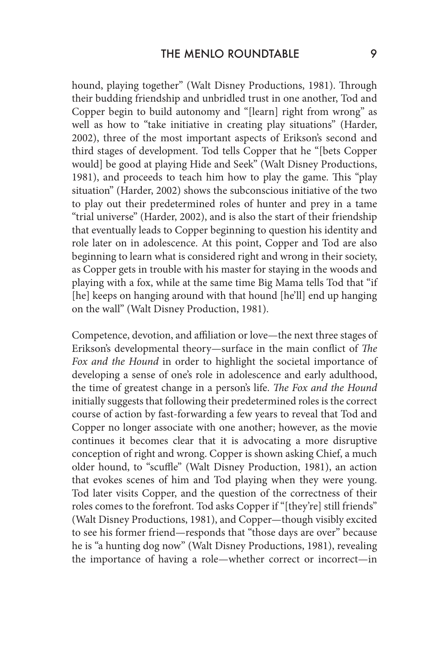hound, playing together" (Walt Disney Productions, 1981). Through their budding friendship and unbridled trust in one another, Tod and Copper begin to build autonomy and "[learn] right from wrong" as well as how to "take initiative in creating play situations" (Harder, 2002), three of the most important aspects of Erikson's second and third stages of development. Tod tells Copper that he "[bets Copper would] be good at playing Hide and Seek" (Walt Disney Productions, 1981), and proceeds to teach him how to play the game. This "play situation" (Harder, 2002) shows the subconscious initiative of the two to play out their predetermined roles of hunter and prey in a tame "trial universe" (Harder, 2002), and is also the start of their friendship that eventually leads to Copper beginning to question his identity and role later on in adolescence. At this point, Copper and Tod are also beginning to learn what is considered right and wrong in their society, as Copper gets in trouble with his master for staying in the woods and playing with a fox, while at the same time Big Mama tells Tod that "if [he] keeps on hanging around with that hound [he'll] end up hanging on the wall" (Walt Disney Production, 1981).

Competence, devotion, and affiliation or love—the next three stages of Erikson's developmental theory—surface in the main conflict of *The Fox and the Hound* in order to highlight the societal importance of developing a sense of one's role in adolescence and early adulthood, the time of greatest change in a person's life. *The Fox and the Hound*  initially suggests that following their predetermined roles is the correct course of action by fast-forwarding a few years to reveal that Tod and Copper no longer associate with one another; however, as the movie continues it becomes clear that it is advocating a more disruptive conception of right and wrong. Copper is shown asking Chief, a much older hound, to "scuffle" (Walt Disney Production, 1981), an action that evokes scenes of him and Tod playing when they were young. Tod later visits Copper, and the question of the correctness of their roles comes to the forefront. Tod asks Copper if "[they're] still friends" (Walt Disney Productions, 1981), and Copper—though visibly excited to see his former friend—responds that "those days are over" because he is "a hunting dog now" (Walt Disney Productions, 1981), revealing the importance of having a role—whether correct or incorrect—in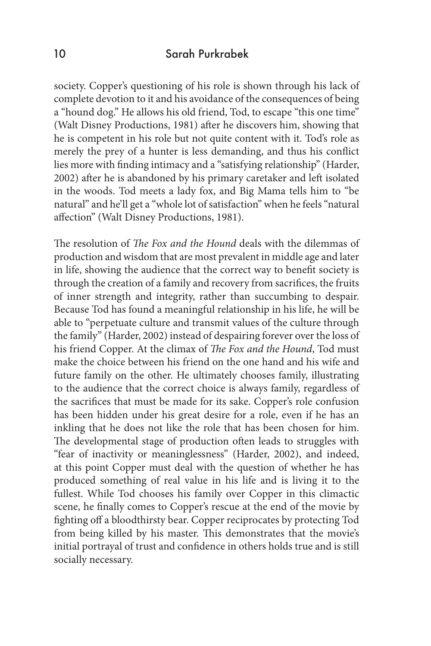society. Copper's questioning of his role is shown through his lack of complete devotion to it and his avoidance of the consequences of being a "hound dog." He allows his old friend, Tod, to escape "this one time" (Walt Disney Productions, 1981) after he discovers him, showing that he is competent in his role but not quite content with it. Tod's role as merely the prey of a hunter is less demanding, and thus his conflict lies more with finding intimacy and a "satisfying relationship" (Harder, 2002) after he is abandoned by his primary caretaker and left isolated in the woods. Tod meets a lady fox, and Big Mama tells him to "be natural" and he'll get a "whole lot of satisfaction" when he feels "natural affection" (Walt Disney Productions, 1981).

The resolution of *The Fox and the Hound* deals with the dilemmas of production and wisdom that are most prevalent in middle age and later in life, showing the audience that the correct way to benefit society is through the creation of a family and recovery from sacrifices, the fruits of inner strength and integrity, rather than succumbing to despair. Because Tod has found a meaningful relationship in his life, he will be able to "perpetuate culture and transmit values of the culture through the family" (Harder, 2002) instead of despairing forever over the loss of his friend Copper. At the climax of *The Fox and the Hound*, Tod must make the choice between his friend on the one hand and his wife and future family on the other. He ultimately chooses family, illustrating to the audience that the correct choice is always family, regardless of the sacrifices that must be made for its sake. Copper's role confusion has been hidden under his great desire for a role, even if he has an inkling that he does not like the role that has been chosen for him. The developmental stage of production often leads to struggles with "fear of inactivity or meaninglessness" (Harder, 2002), and indeed, at this point Copper must deal with the question of whether he has produced something of real value in his life and is living it to the fullest. While Tod chooses his family over Copper in this climactic scene, he finally comes to Copper's rescue at the end of the movie by fighting off a bloodthirsty bear. Copper reciprocates by protecting Tod from being killed by his master. This demonstrates that the movie's initial portrayal of trust and confidence in others holds true and is still socially necessary.